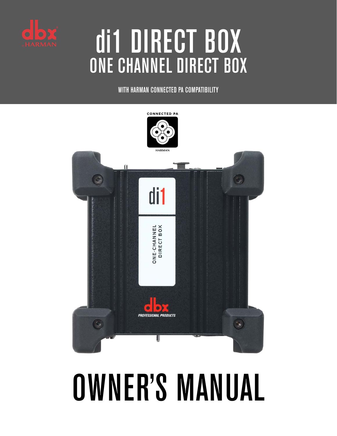

## di1 DIRECT BOX ONE CHANNEL DIRECT BOX

WITH HARMAN CONNECTED PA COMPATIBILITY



# OWNER'S MANUAL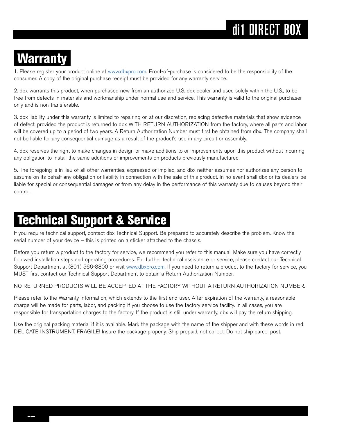## **Warranty**

1. Please register your product online at [www.dbxpro.com.](http://dbxpro.com/en-US/support/warranty_registration) Proof-of-purchase is considered to be the responsibility of the consumer. A copy of the original purchase receipt must be provided for any warranty service.

2. dbx warrants this product, when purchased new from an authorized U.S. dbx dealer and used solely within the U.S., to be free from defects in materials and workmanship under normal use and service. This warranty is valid to the original purchaser only and is non-transferable.

3. dbx liability under this warranty is limited to repairing or, at our discretion, replacing defective materials that show evidence of defect, provided the product is returned to dbx WITH RETURN AUTHORIZATION from the factory, where all parts and labor will be covered up to a period of two years. A Return Authorization Number must first be obtained from dbx. The company shall not be liable for any consequential damage as a result of the product's use in any circuit or assembly.

4. dbx reserves the right to make changes in design or make additions to or improvements upon this product without incurring any obligation to install the same additions or improvements on products previously manufactured.

5. The foregoing is in lieu of all other warranties, expressed or implied, and dbx neither assumes nor authorizes any person to assume on its behalf any obligation or liability in connection with the sale of this product. In no event shall dbx or its dealers be liable for special or consequential damages or from any delay in the performance of this warranty due to causes beyond their control.

## Technical Support & Service

If you require technical support, contact dbx Technical Support. Be prepared to accurately describe the problem. Know the serial number of your device – this is printed on a sticker attached to the chassis.

Before you return a product to the factory for service, we recommend you refer to this manual. Make sure you have correctly followed installation steps and operating procedures. For further technical assistance or service, please contact our Technical Support Department at (801) 566-8800 or visit [www.dbxpro.com](http://www.dbxpro.com/en-US/support). If you need to return a product to the factory for service, you MUST first contact our Technical Support Department to obtain a Return Authorization Number.

#### NO RETURNED PRODUCTS WILL BE ACCEPTED AT THE FACTORY WITHOUT A RETURN AUTHORIZATION NUMBER.

Please refer to the Warranty information, which extends to the first end-user. After expiration of the warranty, a reasonable charge will be made for parts, labor, and packing if you choose to use the factory service facility. In all cases, you are responsible for transportation charges to the factory. If the product is still under warranty, dbx will pay the return shipping.

Use the original packing material if it is available. Mark the package with the name of the shipper and with these words in red: DELICATE INSTRUMENT, FRAGILE! Insure the package properly. Ship prepaid, not collect. Do not ship parcel post.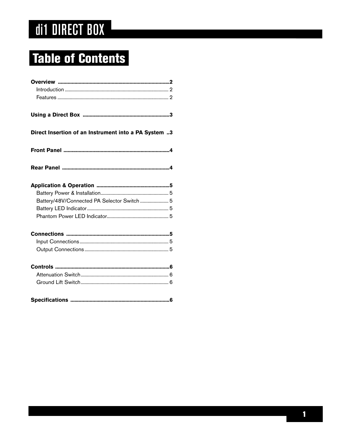## **Table of Contents**

| Direct Insertion of an Instrument into a PA System 3 |
|------------------------------------------------------|
|                                                      |
|                                                      |
|                                                      |
|                                                      |
| Battery/48V/Connected PA Selector Switch 5           |
|                                                      |
|                                                      |
|                                                      |
|                                                      |
|                                                      |
|                                                      |
|                                                      |
|                                                      |
|                                                      |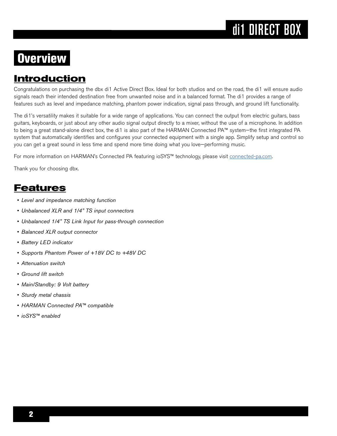## <span id="page-3-0"></span>**Overview**

#### **Introduction**

Congratulations on purchasing the dbx di1 Active Direct Box. Ideal for both studios and on the road, the di1 will ensure audio signals reach their intended destination free from unwanted noise and in a balanced format. The di1 provides a range of features such as level and impedance matching, phantom power indication, signal pass through, and ground lift functionality.

The di1's versatility makes it suitable for a wide range of applications. You can connect the output from electric guitars, bass guitars, keyboards, or just about any other audio signal output directly to a mixer, without the use of a microphone. In addition to being a great stand-alone direct box, the di1 is also part of the HARMAN Connected PA™ system—the first integrated PA system that automatically identifies and configures your connected equipment with a single app. Simplify setup and control so you can get a great sound in less time and spend more time doing what you love—performing music.

For more information on HARMAN's Connected PA featuring ioSYS<sup>™</sup> technology, please visit [connected-pa.com](http://pro.harman.com/lp/harman-connected-pa).

Thank you for choosing dbx.

#### **Features**

- *• Level and impedance matching function*
- *• Unbalanced XLR and 1/4" TS input connectors*
- *• Unbalanced 1/4" TS Link Input for pass-through connection*
- *• Balanced XLR output connector*
- *• Battery LED indicator*
- *• Supports Phantom Power of +18V DC to +48V DC*
- *• Attenuation switch*
- *• Ground lift switch*
- *• Main/Standby: 9 Volt battery*
- *• Sturdy metal chassis*
- *• HARMAN Connected PA™ compatible*
- *• ioSYS™ enabled*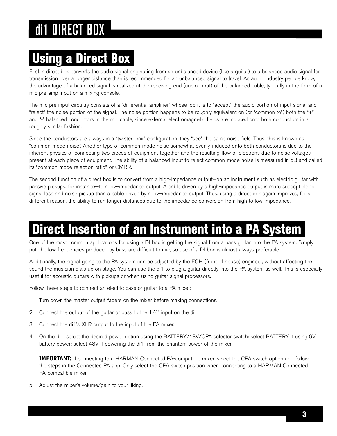## <span id="page-4-0"></span>Using a Direct Box

First, a direct box converts the audio signal originating from an unbalanced device (like a guitar) to a balanced audio signal for transmission over a longer distance than is recommended for an unbalanced signal to travel. As audio industry people know, the advantage of a balanced signal is realized at the receiving end (audio input) of the balanced cable, typically in the form of a mic pre-amp input on a mixing console.

The mic pre input circuitry consists of a "differential amplifier" whose job it is to "accept" the audio portion of input signal and "reject" the noise portion of the signal. The noise portion happens to be roughly equivalent on (or "common to") both the "+" and "-" balanced conductors in the mic cable, since external electromagnetic fields are induced onto both conductors in a roughly similar fashion.

Since the conductors are always in a "twisted pair" configuration, they "see" the same noise field. Thus, this is known as "common-mode noise". Another type of common-mode noise somewhat evenly-induced onto both conductors is due to the inherent physics of connecting two pieces of equipment together and the resulting flow of electrons due to noise voltages present at each piece of equipment. The ability of a balanced input to reject common-mode noise is measured in dB and called its "common-mode rejection ratio", or CMRR.

The second function of a direct box is to convert from a high-impedance output—on an instrument such as electric guitar with passive pickups, for instance—to a low-impedance output. A cable driven by a high-impedance output is more susceptible to signal loss and noise pickup than a cable driven by a low-impedance output. Thus, using a direct box again improves, for a different reason, the ability to run longer distances due to the impedance conversion from high to low-impedance.

## Direct Insertion of an Instrument into a PA System

One of the most common applications for using a DI box is getting the signal from a bass guitar into the PA system. Simply put, the low frequencies produced by bass are difficult to mic, so use of a DI box is almost always preferable.

Additionally, the signal going to the PA system can be adjusted by the FOH (front of house) engineer, without affecting the sound the musician dials up on stage. You can use the di1 to plug a guitar directly into the PA system as well. This is especially useful for acoustic guitars with pickups or when using guitar signal processors.

Follow these steps to connect an electric bass or guitar to a PA mixer:

- 1. Turn down the master output faders on the mixer before making connections.
- 2. Connect the output of the guitar or bass to the 1/4" input on the di1.
- 3. Connect the di1's XLR output to the input of the PA mixer.
- 4. On the di1, select the desired power option using the BATTERY/48V/CPA selector switch: select BATTERY if using 9V battery power; select 48V if powering the di1 from the phantom power of the mixer.

**IMPORTANT:** If connecting to a HARMAN Connected PA-compatible mixer, select the CPA switch option and follow the steps in the Connected PA app. Only select the CPA switch position when connecting to a HARMAN Connected PA-compatible mixer.

5. Adjust the mixer's volume/gain to your liking.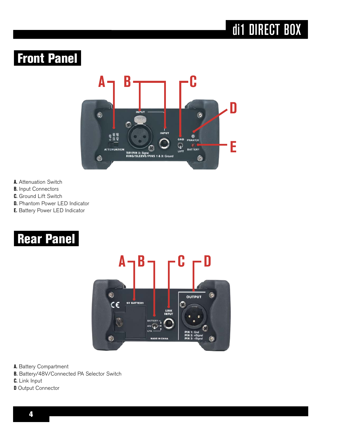## <span id="page-5-0"></span>Front Panel



- **A.** Attenuation Switch
- **B.** Input Connectors
- **C.** Ground Lift Switch
- **D.** Phantom Power LED Indicator
- **E.** Battery Power LED Indicator





**A.** Battery Compartment

- **B.** Battery/48V/Connected PA Selector Switch
- **C.** Link Input
- **D** Output Connector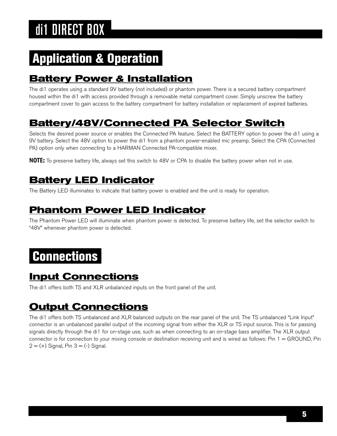## <span id="page-6-0"></span>Application & Operation

#### **Battery Power & Installation**

The di1 operates using a standard 9V battery (not included) or phantom power. There is a secured battery compartment housed within the di1 with access provided through a removable metal compartment cover. Simply unscrew the battery compartment cover to gain access to the battery compartment for battery installation or replacement of expired batteries.

#### **Battery/48V/Connected PA Selector Switch**

Selects the desired power source or enables the Connected PA feature. Select the BATTERY option to power the di1 using a 9V battery. Select the 48V option to power the di1 from a phantom power-enabled mic preamp. Select the CPA (Connected PA) option only when connecting to a HARMAN Connected PA-compatible mixer.

**NOTE:** To preserve battery life, always set this switch to 48V or CPA to disable the battery power when not in use.

#### **Battery LED Indicator**

The Battery LED illuminates to indicate that battery power is enabled and the unit is ready for operation.

#### **Phantom Power LED Indicator**

The Phantom Power LED will illuminate when phantom power is detected. To preserve battery life, set the selector switch to "48V" whenever phantom power is detected.

### **Connections**

#### **Input Connections**

The di1 offers both TS and XLR unbalanced inputs on the front panel of the unit.

#### **Output Connections**

The di1 offers both TS unbalanced and XLR balanced outputs on the rear panel of the unit. The TS unbalanced "Link Input" connector is an unbalanced parallel output of the incoming signal from either the XLR or TS input source. This is for passing signals directly through the di1 for on-stage use, such as when connecting to an on-stage bass amplifier. The XLR output connector is for connection to your mixing console or destination receiving unit and is wired as follows: Pin 1 = GROUND, Pin  $2 = (+)$  Signal, Pin  $3 = (-)$  Signal.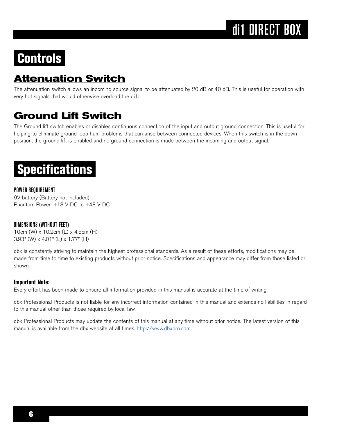## <span id="page-7-0"></span>**Controls**

#### **Attenuation Switch**

The attenuation switch allows an incoming source signal to be attenuated by 20 dB or 40 dB. This is useful for operation with very hot signals that would otherwise overload the di1.

#### **Ground Lift Switch**

The Ground lift switch enables or disables continuous connection of the input and output ground connection. This is useful for helping to eliminate ground loop hum problems that can arise between connected devices. When this switch is in the down position, the ground lift is enabled and no ground connection is made between the incoming and output signal.

## **Specifications**

#### POWER REQUIREMENT

9V battery (Battery not included) Phantom Power: +18 V DC to +48 V DC

#### DIMENSIONS (WITHOUT FEET)

10cm (W) x 10.2cm (L) x 4.5cm (H) 3.93" (W) x 4.01" (L) x 1.77" (H)

dbx is constantly striving to maintain the highest professional standards. As a result of these efforts, modifications may be made from time to time to existing products without prior notice. Specifications and appearance may differ from those listed or shown.

#### **Important Note:**

Every effort has been made to ensure all information provided in this manual is accurate at the time of writing.

dbx Professional Products is not liable for any incorrect information contained in this manual and extends no liabilities in regard to this manual other than those required by local law.

dbx Professional Products may update the contents of this manual at any time without prior notice. The latest version of this manual is available from the dbx website at all times. <http://www.dbxpro.com>